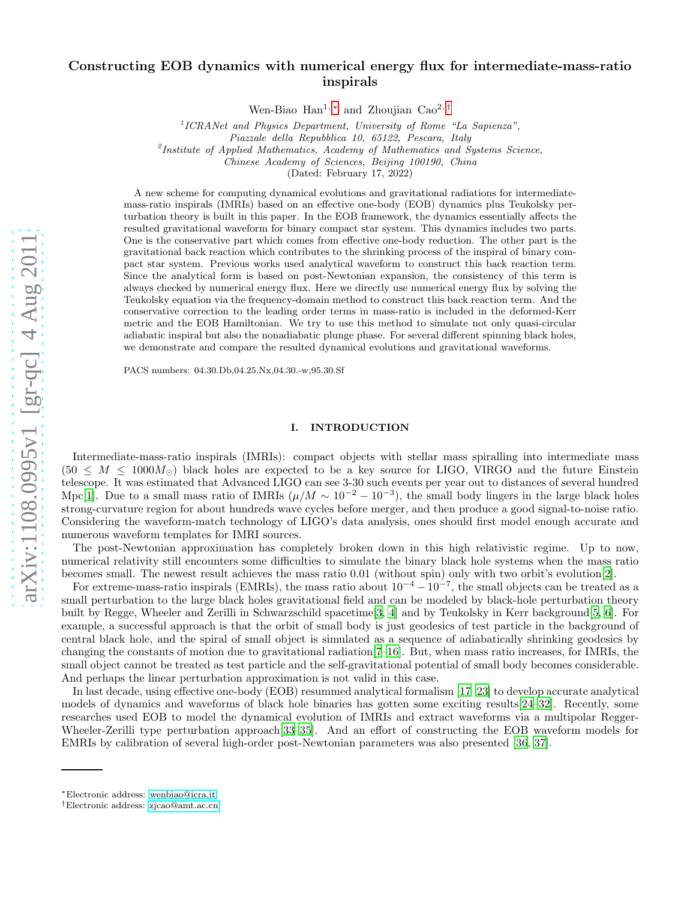# Constructing EOB dynamics with numerical energy flux for intermediate-mass-ratio inspirals

Wen-Biao Han<sup>1,\*</sup> and Zhoujian Cao<sup>2,[†](#page-0-1)</sup>

<sup>1</sup>ICRANet and Physics Department, University of Rome "La Sapienza",

Piazzale della Repubblica 10, 65122, Pescara, Italy

<sup>2</sup>Institute of Applied Mathematics, Academy of Mathematics and Systems Science,

Chinese Academy of Sciences, Beijing 100190, China

(Dated: February 17, 2022)

A new scheme for computing dynamical evolutions and gravitational radiations for intermediatemass-ratio inspirals (IMRIs) based on an effective one-body (EOB) dynamics plus Teukolsky perturbation theory is built in this paper. In the EOB framework, the dynamics essentially affects the resulted gravitational waveform for binary compact star system. This dynamics includes two parts. One is the conservative part which comes from effective one-body reduction. The other part is the gravitational back reaction which contributes to the shrinking process of the inspiral of binary compact star system. Previous works used analytical waveform to construct this back reaction term. Since the analytical form is based on post-Newtonian expansion, the consistency of this term is always checked by numerical energy flux. Here we directly use numerical energy flux by solving the Teukolsky equation via the frequency-domain method to construct this back reaction term. And the conservative correction to the leading order terms in mass-ratio is included in the deformed-Kerr metric and the EOB Hamiltonian. We try to use this method to simulate not only quasi-circular adiabatic inspiral but also the nonadiabatic plunge phase. For several different spinning black holes, we demonstrate and compare the resulted dynamical evolutions and gravitational waveforms.

PACS numbers: 04.30.Db,04.25.Nx,04.30.-w,95.30.Sf

#### I. INTRODUCTION

Intermediate-mass-ratio inspirals (IMRIs): compact objects with stellar mass spiralling into intermediate mass  $(50 \leq M \leq 1000 M_{\odot})$  black holes are expected to be a key source for LIGO, VIRGO and the future Einstein telescope. It was estimated that Advanced LIGO can see 3-30 such events per year out to distances of several hundred Mpc[\[1](#page-9-0)]. Due to a small mass ratio of IMRIs  $(\mu/M \sim 10^{-2} - 10^{-3})$ , the small body lingers in the large black holes strong-curvature region for about hundreds wave cycles before merger, and then produce a good signal-to-noise ratio. Considering the waveform-match technology of LIGO's data analysis, ones should first model enough accurate and numerous waveform templates for IMRI sources.

The post-Newtonian approximation has completely broken down in this high relativistic regime. Up to now, numerical relativity still encounters some difficulties to simulate the binary black hole systems when the mass ratio becomes small. The newest result achieves the mass ratio 0 .01 (without spin) only with two orbit's evolution[\[2](#page-9-1)].

For extreme-mass-ratio inspirals (EMRIs), the mass ratio about  $10^{-4} - 10^{-7}$ , the small objects can be treated as a small perturbation to the large black holes gravitational field and can be modeled by black-hole perturbation theory built by Regge, Wheeler and Zerilli in Schwarzschild spacetime[\[3](#page-9-2), [4](#page-9-3)] and by Teukolsky in Kerr background[\[5,](#page-9-4) [6\]](#page-9-5). For example, a successful approach is that the orbit of small body is just geodesics of test particle in the background of central black hole, and the spiral of small object is simulated as a sequence of adiabatically shrinking geodesics by changing the constants of motion due to gravitational radiation[\[7](#page-9-6)[–16\]](#page-9-7). But, when mass ratio increases, for IMRIs, the small object cannot be treated as test particle and the self-gravitational potential of small body becomes considerable. And perhaps the linear perturbation approximation is not valid in this case.

In last decade, using effective one-body (EOB) resummed analytical formalism [\[17–](#page-9-8)[23\]](#page-9-9) to develop accurate analytical models of dynamics and waveforms of black hole binaries has gotten some exciting results[\[24](#page-9-10)[–32](#page-10-0)]. Recently, some researches used EOB to model the dynamical evolution of IMRIs and extract waveforms via a multipolar Regger-Wheeler-Zerilli type perturbation approach[\[33](#page-10-1)[–35\]](#page-10-2). And an effort of constructing the EOB waveform models for EMRIs by calibration of several high-order post-Newtonian parameters was also presented [\[36](#page-10-3), [37](#page-10-4)].

<span id="page-0-0"></span><sup>∗</sup>Electronic address: [wenbiao@icra.it](mailto:wenbiao@icra.it)

<span id="page-0-1"></span><sup>†</sup>Electronic address: [zjcao@amt.ac.cn](mailto:zjcao@amt.ac.cn)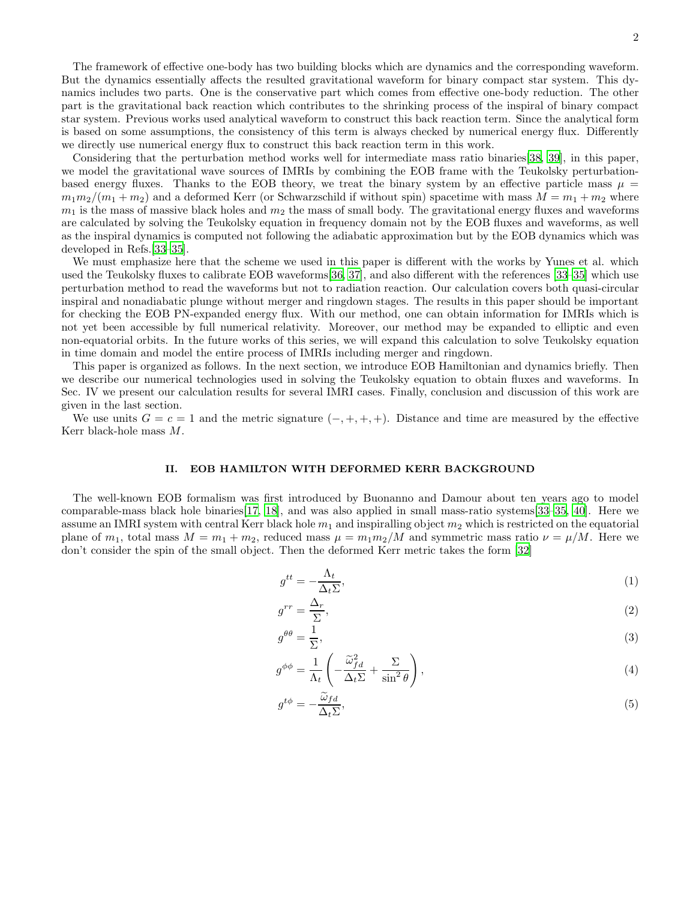The framework of effective one-body has two building blocks which are dynamics and the corresponding waveform. But the dynamics essentially affects the resulted gravitational waveform for binary compact star system. This dynamics includes two parts. One is the conservative part which comes from effective one-body reduction. The other part is the gravitational back reaction which contributes to the shrinking process of the inspiral of binary compact star system. Previous works used analytical waveform to construct this back reaction term. Since the analytical form is based on some assumptions, the consistency of this term is always checked by numerical energy flux. Differently we directly use numerical energy flux to construct this back reaction term in this work.

Considering that the perturbation method works well for intermediate mass ratio binaries[\[38,](#page-10-5) [39\]](#page-10-6), in this paper, we model the gravitational wave sources of IMRIs by combining the EOB frame with the Teukolsky perturbationbased energy fluxes. Thanks to the EOB theory, we treat the binary system by an effective particle mass  $\mu =$  $m_1m_2/(m_1 + m_2)$  and a deformed Kerr (or Schwarzschild if without spin) spacetime with mass  $M = m_1 + m_2$  where  $m_1$  is the mass of massive black holes and  $m_2$  the mass of small body. The gravitational energy fluxes and waveforms are calculated by solving the Teukolsky equation in frequency domain not by the EOB fluxes and waveforms, as well as the inspiral dynamics is computed not following the adiabatic approximation but by the EOB dynamics which was developed in Refs.[\[33](#page-10-1)[–35](#page-10-2)].

We must emphasize here that the scheme we used in this paper is different with the works by Yunes et al. which used the Teukolsky fluxes to calibrate EOB waveforms[\[36,](#page-10-3) [37\]](#page-10-4), and also different with the references [\[33](#page-10-1)[–35\]](#page-10-2) which use perturbation method to read the waveforms but not to radiation reaction. Our calculation covers both quasi-circular inspiral and nonadiabatic plunge without merger and ringdown stages. The results in this paper should be important for checking the EOB PN-expanded energy flux. With our method, one can obtain information for IMRIs which is not yet been accessible by full numerical relativity. Moreover, our method may be expanded to elliptic and even non-equatorial orbits. In the future works of this series, we will expand this calculation to solve Teukolsky equation in time domain and model the entire process of IMRIs including merger and ringdown.

This paper is organized as follows. In the next section, we introduce EOB Hamiltonian and dynamics briefly. Then we describe our numerical technologies used in solving the Teukolsky equation to obtain fluxes and waveforms. In Sec. IV we present our calculation results for several IMRI cases. Finally, conclusion and discussion of this work are given in the last section.

We use units  $G = c = 1$  and the metric signature  $(-, +, +, +)$ . Distance and time are measured by the effective Kerr black-hole mass M.

### II. EOB HAMILTON WITH DEFORMED KERR BACKGROUND

The well-known EOB formalism was first introduced by Buonanno and Damour about ten years ago to model comparable-mass black hole binaries[\[17](#page-9-8), [18\]](#page-9-11), and was also applied in small mass-ratio systems[\[33](#page-10-1)[–35](#page-10-2), [40\]](#page-10-7). Here we assume an IMRI system with central Kerr black hole  $m_1$  and inspiralling object  $m_2$  which is restricted on the equatorial plane of  $m_1$ , total mass  $M = m_1 + m_2$ , reduced mass  $\mu = m_1 m_2 / M$  and symmetric mass ratio  $\nu = \mu / M$ . Here we don't consider the spin of the small object. Then the deformed Kerr metric takes the form [\[32\]](#page-10-0)

$$
g^{tt} = -\frac{\Lambda_t}{\Delta_t \Sigma},\tag{1}
$$

$$
g^{rr} = \frac{\Delta_r}{\Sigma},\tag{2}
$$

$$
g^{\theta\theta} = \frac{1}{\Sigma},\tag{3}
$$

$$
g^{\phi\phi} = \frac{1}{\Lambda_t} \left( -\frac{\tilde{\omega}_{fd}^2}{\Delta_t \Sigma} + \frac{\Sigma}{\sin^2 \theta} \right),\tag{4}
$$

$$
g^{t\phi} = -\frac{\widetilde{\omega}_{fd}}{\Delta_t \Sigma},\tag{5}
$$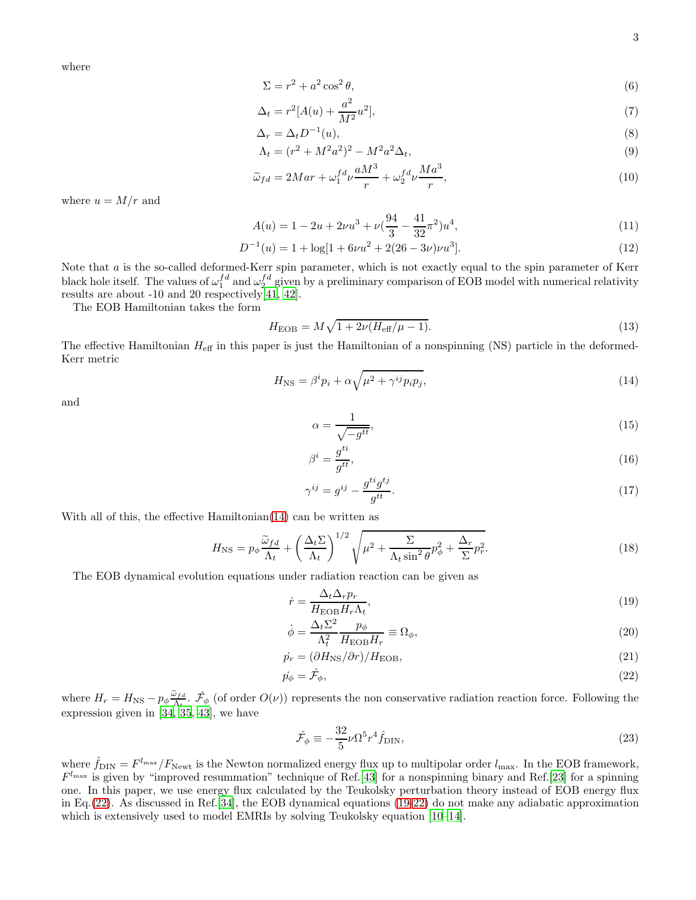where

$$
\Sigma = r^2 + a^2 \cos^2 \theta,\tag{6}
$$

$$
\Delta_t = r^2 [A(u) + \frac{a^2}{M^2} u^2],\tag{7}
$$

$$
\Delta_r = \Delta_t D^{-1}(u),\tag{8}
$$

$$
\Lambda_t = (r^2 + M^2 a^2)^2 - M^2 a^2 \Delta_t,\tag{9}
$$

$$
\widetilde{\omega}_{fd} = 2Mar + \omega_1^{fd} \nu \frac{aM^3}{r} + \omega_2^{fd} \nu \frac{Ma^3}{r},\tag{10}
$$

where  $u = M/r$  and

$$
A(u) = 1 - 2u + 2\nu u^3 + \nu \left(\frac{94}{3} - \frac{41}{32}\pi^2\right)u^4,\tag{11}
$$

$$
D^{-1}(u) = 1 + \log[1 + 6\nu u^2 + 2(26 - 3\nu)\nu u^3].
$$
\n(12)

Note that a is the so-called deformed-Kerr spin parameter, which is not exactly equal to the spin parameter of Kerr black hole itself. The values of  $\omega_1^{fd}$  and  $\omega_2^{fd}$  given by a preliminary comparison of EOB model with numerical relativity results are about -10 and 20 respectively  $[41, 42]$  $[41, 42]$ .

The EOB Hamiltonian takes the form

$$
H_{\rm EOB} = M\sqrt{1 + 2\nu(H_{\rm eff}/\mu - 1)}.
$$
\n(13)

The effective Hamiltonian  $H_{\text{eff}}$  in this paper is just the Hamiltonian of a nonspinning (NS) particle in the deformed-Kerr metric

$$
H_{\rm NS} = \beta^i p_i + \alpha \sqrt{\mu^2 + \gamma^{ij} p_i p_j},\tag{14}
$$

and

<span id="page-2-0"></span>
$$
\alpha = \frac{1}{\sqrt{-g^{tt}}},\tag{15}
$$

$$
\beta^i = \frac{g^{ti}}{g^{tt}},\tag{16}
$$

$$
\gamma^{ij} = g^{ij} - \frac{g^{ti}g^{tj}}{g^{tt}}.\tag{17}
$$

With all of this, the effective Hamiltonian[\(14\)](#page-2-0) can be written as

$$
H_{\rm NS} = p_{\phi} \frac{\tilde{\omega}_{fd}}{\Lambda_t} + \left(\frac{\Delta_t \Sigma}{\Lambda_t}\right)^{1/2} \sqrt{\mu^2 + \frac{\Sigma}{\Lambda_t \sin^2 \theta} p_{\phi}^2 + \frac{\Delta_r}{\Sigma} p_r^2}.
$$
 (18)

The EOB dynamical evolution equations under radiation reaction can be given as

<span id="page-2-2"></span>
$$
\dot{r} = \frac{\Delta_t \Delta_r p_r}{H_{\rm EOB} H_r \Lambda_t},\tag{19}
$$

<span id="page-2-3"></span>
$$
\dot{\phi} = \frac{\Delta_t \Sigma^2}{\Lambda_t^2} \frac{p_\phi}{H_{\rm EOB} H_r} \equiv \Omega_\phi,\tag{20}
$$

$$
\dot{p_r} = (\partial H_{\rm NS}/\partial r)/H_{\rm EOB},\tag{21}
$$

$$
\dot{p}_{\phi} = \hat{\mathcal{F}}_{\phi},\tag{22}
$$

where  $H_r = H_{\text{NS}} - p_{\phi} \frac{\tilde{\omega}_{fd}}{\Lambda_t}$  $\hat{\mathcal{L}}_{\Lambda_t}$ .  $\hat{\mathcal{F}}_{\phi}$  (of order  $O(\nu)$ ) represents the non conservative radiation reaction force. Following the expression given in [\[34,](#page-10-10) [35,](#page-10-2) [43\]](#page-10-11), we have

<span id="page-2-1"></span>
$$
\hat{\mathcal{F}}_{\phi} \equiv -\frac{32}{5} \nu \Omega^5 r^4 \hat{f}_{\text{DIN}},\tag{23}
$$

where  $\hat{f}_{\text{DIN}} = F^{l_{\text{max}}}/F_{\text{Newt}}$  is the Newton normalized energy flux up to multipolar order  $l_{\text{max}}$ . In the EOB framework,  $F^{l_{\text{max}}}$  is given by "improved resummation" technique of Ref.[\[43\]](#page-10-11) for a nonspinning binary and Ref.[\[23](#page-9-9)] for a spinning one. In this paper, we use energy flux calculated by the Teukolsky perturbation theory instead of EOB energy flux in Eq.[\(22\)](#page-2-1). As discussed in Ref.[\[34](#page-10-10)], the EOB dynamical equations [\(19](#page-2-2)[-22\)](#page-2-1) do not make any adiabatic approximation which is extensively used to model EMRIs by solving Teukolsky equation [\[10](#page-9-12)[–14\]](#page-9-13).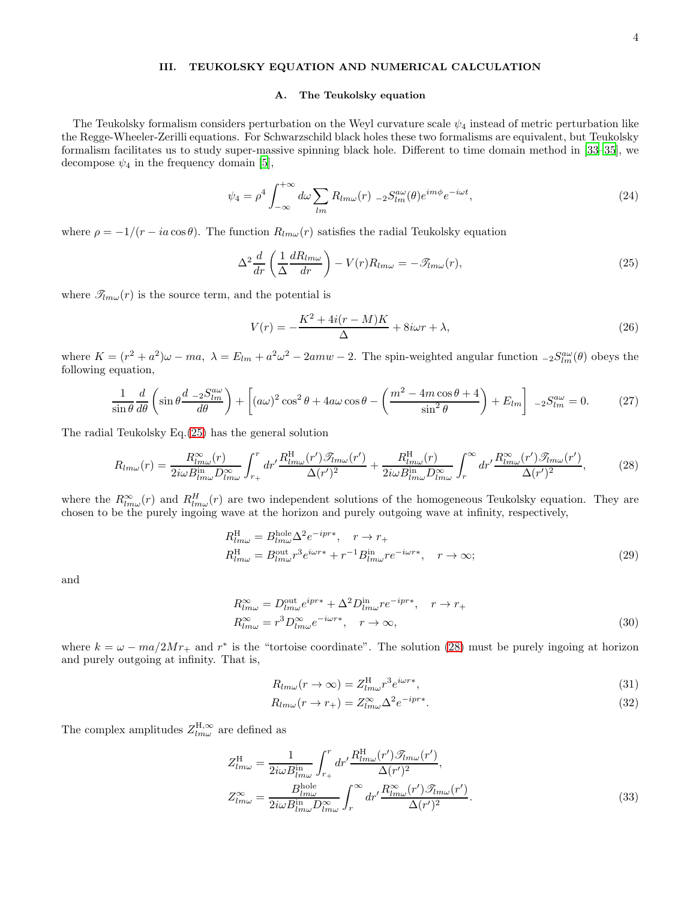## III. TEUKOLSKY EQUATION AND NUMERICAL CALCULATION

#### A. The Teukolsky equation

The Teukolsky formalism considers perturbation on the Weyl curvature scale  $\psi_4$  instead of metric perturbation like the Regge-Wheeler-Zerilli equations. For Schwarzschild black holes these two formalisms are equivalent, but Teukolsky formalism facilitates us to study super-massive spinning black hole. Different to time domain method in [\[33](#page-10-1)[–35\]](#page-10-2), we decompose  $\psi_4$  in the frequency domain [\[5\]](#page-9-4),

$$
\psi_4 = \rho^4 \int_{-\infty}^{+\infty} d\omega \sum_{lm} R_{lm\omega}(r) \;_{-2} S_{lm}^{a\omega}(\theta) e^{im\phi} e^{-i\omega t}, \tag{24}
$$

where  $\rho = -1/(r - i a \cos \theta)$ . The function  $R_{lm\omega}(r)$  satisfies the radial Teukolsky equation

$$
\Delta^2 \frac{d}{dr} \left( \frac{1}{\Delta} \frac{dR_{lm\omega}}{dr} \right) - V(r) R_{lm\omega} = -\mathcal{F}_{lm\omega}(r),\tag{25}
$$

where  $\mathscr{T}_{lm\omega}(r)$  is the source term, and the potential is

<span id="page-3-2"></span><span id="page-3-1"></span><span id="page-3-0"></span>
$$
V(r) = -\frac{K^2 + 4i(r - M)K}{\Delta} + 8i\omega r + \lambda,
$$
\n(26)

where  $K = (r^2 + a^2)\omega - ma$ ,  $\lambda = E_{lm} + a^2\omega^2 - 2amw - 2$ . The spin-weighted angular function  ${}_{-2}S_{lm}^{a\omega}(\theta)$  obeys the following equation,

$$
\frac{1}{\sin\theta} \frac{d}{d\theta} \left( \sin\theta \frac{d - 2S_{lm}^{a\omega}}{d\theta} \right) + \left[ (a\omega)^2 \cos^2\theta + 4a\omega \cos\theta - \left( \frac{m^2 - 4m\cos\theta + 4}{\sin^2\theta} \right) + E_{lm} \right] - 2S_{lm}^{a\omega} = 0. \tag{27}
$$

The radial Teukolsky Eq.[\(25\)](#page-3-0) has the general solution

$$
R_{lm\omega}(r) = \frac{R_{lm\omega}^{\infty}(r)}{2i\omega B_{lm\omega}^{\text{in}}D_{lm\omega}^{\infty}} \int_{r_{+}}^{r} dr' \frac{R_{lm\omega}^{\text{H}}(r')\mathcal{I}_{lm\omega}(r')}{\Delta(r')^{2}} + \frac{R_{lm\omega}^{\text{H}}(r)}{2i\omega B_{lm\omega}^{\text{in}}D_{lm\omega}^{\infty}} \int_{r}^{\infty} dr' \frac{R_{lm\omega}^{\infty}(r')\mathcal{I}_{lm\omega}(r')}{\Delta(r')^{2}},\tag{28}
$$

where the  $R^{\infty}_{lm\omega}(r)$  and  $R^H_{lm\omega}(r)$  are two independent solutions of the homogeneous Teukolsky equation. They are chosen to be the purely ingoing wave at the horizon and purely outgoing wave at infinity, respectively,

$$
R_{lm\omega}^{\text{H}} = B_{lm\omega}^{\text{hole}} \Delta^2 e^{-ipr*}, \quad r \to r_{+}
$$
  
\n
$$
R_{lm\omega}^{\text{H}} = B_{lm\omega}^{\text{out}} r^3 e^{i\omega r*} + r^{-1} B_{lm\omega}^{\text{in}} r e^{-i\omega r*}, \quad r \to \infty;
$$
\n(29)

and

$$
R_{lm\omega}^{\infty} = D_{lm\omega}^{\text{out}} e^{ipr*} + \Delta^2 D_{lm\omega}^{\text{in}} r e^{-ipr*}, \quad r \to r_+
$$
  
\n
$$
R_{lm\omega}^{\infty} = r^3 D_{lm\omega}^{\infty} e^{-i\omega r*}, \quad r \to \infty,
$$
\n(30)

where  $k = \omega - ma/2Mr_+$  and  $r^*$  is the "tortoise coordinate". The solution [\(28\)](#page-3-1) must be purely ingoing at horizon and purely outgoing at infinity. That is,

$$
R_{lm\omega}(r \to \infty) = Z_{lm\omega}^{\text{H}} r^3 e^{i\omega r}, \tag{31}
$$

$$
R_{lm\omega}(r \to r_+) = Z_{lm\omega}^{\infty} \Delta^2 e^{-ipr*}.
$$
\n(32)

The complex amplitudes  $Z_{lm\omega}^{\rm H, \infty}$  are defined as

$$
Z_{lm\omega}^{\text{H}} = \frac{1}{2i\omega B_{lm\omega}^{\text{in}}} \int_{r_{+}}^{r} dr' \frac{R_{lm\omega}^{\text{H}}(r')\mathcal{I}_{lm\omega}(r')}{\Delta(r')^{2}},
$$
  
\n
$$
Z_{lm\omega}^{\infty} = \frac{B_{lm\omega}^{\text{hole}}}{2i\omega B_{lm\omega}^{\text{in}}} \int_{r_{-}}^{\infty} dr' \frac{R_{lm\omega}^{\infty}(r')\mathcal{I}_{lm\omega}(r')}{\Delta(r')^{2}}.
$$
\n(33)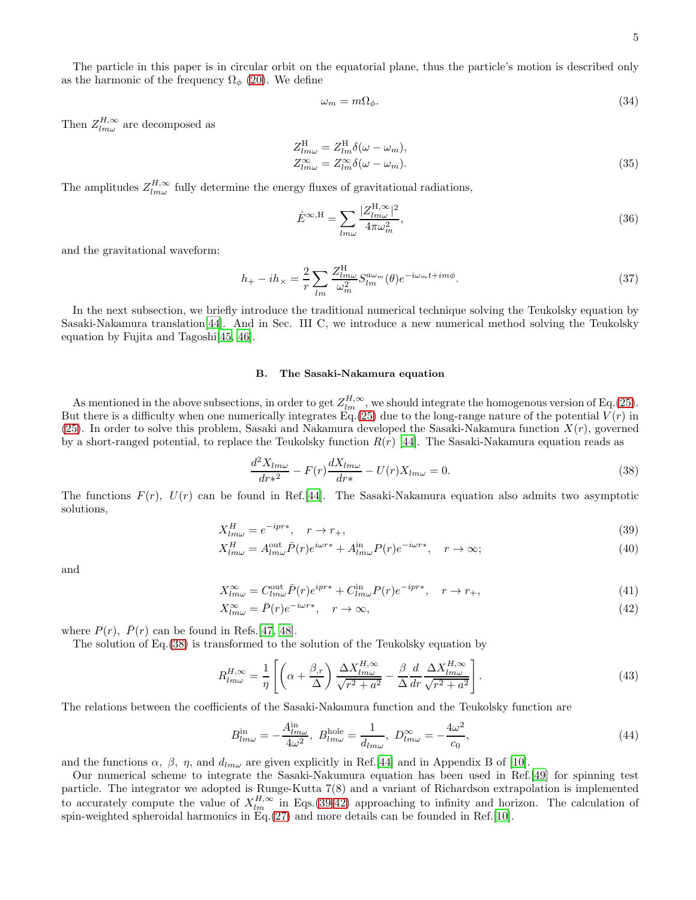The particle in this paper is in circular orbit on the equatorial plane, thus the particle's motion is described only as the harmonic of the frequency  $\Omega_{\phi}$  [\(20\)](#page-2-3). We define

<span id="page-4-3"></span>
$$
\omega_m = m\Omega_\phi. \tag{34}
$$

Then  $Z_{lm\omega}^{H,\infty}$  are decomposed as

$$
Z_{lm\omega}^{\text{H}} = Z_{lm}^{\text{H}} \delta(\omega - \omega_m),
$$
  
\n
$$
Z_{lm\omega}^{\text{m}} = Z_{lm}^{\infty} \delta(\omega - \omega_m).
$$
\n(35)

The amplitudes  $Z_{lm\omega}^{H,\infty}$  fully determine the energy fluxes of gravitational radiations,

$$
\dot{E}^{\infty, \mathcal{H}} = \sum_{lm\omega} \frac{|Z_{lm\omega}^{\mathcal{H}, \infty}|^2}{4\pi\omega_m^2},\tag{36}
$$

and the gravitational waveform:

$$
h_{+} - ih_{\times} = \frac{2}{r} \sum_{lm} \frac{Z_{lm\omega}^{\text{H}}}{\omega_m^2} S_{lm}^{a\omega_m}(\theta) e^{-i\omega_m t + im\phi}.
$$
\n(37)

In the next subsection, we briefly introduce the traditional numerical technique solving the Teukolsky equation by Sasaki-Nakamura translation[\[44](#page-10-12)]. And in Sec. III C, we introduce a new numerical method solving the Teukolsky equation by Fujita and Tagoshi[\[45,](#page-10-13) [46](#page-10-14)].

#### B. The Sasaki-Nakamura equation

As mentioned in the above subsections, in order to get  $Z_{lm}^{H,\infty}$ , we should integrate the homogenous version of Eq.[\(25\)](#page-3-0). But there is a difficulty when one numerically integrates  $Eq.(25)$  $Eq.(25)$  due to the long-range nature of the potential  $V(r)$  in [\(25\)](#page-3-0). In order to solve this problem, Sasaki and Nakamura developed the Sasaki-Nakamura function  $X(r)$ , governed by a short-ranged potential, to replace the Teukolsky function  $R(r)$  [\[44](#page-10-12)]. The Sasaki-Nakamura equation reads as

<span id="page-4-2"></span><span id="page-4-1"></span><span id="page-4-0"></span>
$$
\frac{d^2X_{lm\omega}}{dr^2} - F(r)\frac{dX_{lm\omega}}{dr^2} - U(r)X_{lm\omega} = 0.
$$
\n(38)

The functions  $F(r)$ ,  $U(r)$  can be found in Ref.[\[44](#page-10-12)]. The Sasaki-Nakamura equation also admits two asymptotic solutions,

$$
X_{lm\omega}^H = e^{-ipr*}, \quad r \to r_+,\tag{39}
$$

$$
X_{lm\omega}^H = A_{lm\omega}^{\text{out}} \bar{P}(r) e^{i\omega r*} + A_{lm\omega}^{\text{in}} P(r) e^{-i\omega r*}, \quad r \to \infty;
$$
\n(40)

and

$$
X_{lm\omega}^{\infty} = C_{lm\omega}^{\text{out}} \bar{P}(r) e^{ipr*} + C_{lm\omega}^{\text{in}} P(r) e^{-ipr*}, \quad r \to r_+, \tag{41}
$$

$$
X_{lm\omega}^{\infty} = \bar{P}(r)e^{-i\omega r*}, \quad r \to \infty,
$$
\n(42)

where  $P(r)$ ,  $\bar{P}(r)$  can be found in Refs.[\[47](#page-10-15), [48](#page-10-16)].

The solution of Eq.[\(38\)](#page-4-0) is transformed to the solution of the Teukolsky equation by

$$
R_{lm\omega}^{H,\infty} = \frac{1}{\eta} \left[ \left( \alpha + \frac{\beta_{,r}}{\Delta} \right) \frac{\Delta X_{lm\omega}^{H,\infty}}{\sqrt{r^2 + a^2}} - \frac{\beta}{\Delta} \frac{d}{dr} \frac{\Delta X_{lm\omega}^{H,\infty}}{\sqrt{r^2 + a^2}} \right]. \tag{43}
$$

The relations between the coefficients of the Sasaki-Nakamura function and the Teukolsky function are

$$
B_{lm\omega}^{\text{in}} = -\frac{A_{lm\omega}^{\text{in}}}{4\omega^2}, \ B_{lm\omega}^{\text{hole}} = \frac{1}{d_{lm\omega}}, \ D_{lm\omega}^{\infty} = -\frac{4\omega^2}{c_0},\tag{44}
$$

and the functions  $\alpha$ ,  $\beta$ ,  $\eta$ , and  $d_{lm\omega}$  are given explicitly in Ref.[\[44\]](#page-10-12) and in Appendix B of [\[10](#page-9-12)].

Our numerical scheme to integrate the Sasaki-Nakumura equation has been used in Ref.[\[49](#page-10-17)] for spinning test particle. The integrator we adopted is Runge-Kutta 7(8) and a variant of Richardson extrapolation is implemented to accurately compute the value of  $X_{lm}^{H,\infty}$  in Eqs.[\(39](#page-4-1)[-42\)](#page-4-2) approaching to infinity and horizon. The calculation of spin-weighted spheroidal harmonics in Eq.[\(27\)](#page-3-2) and more details can be founded in Ref.[\[10\]](#page-9-12).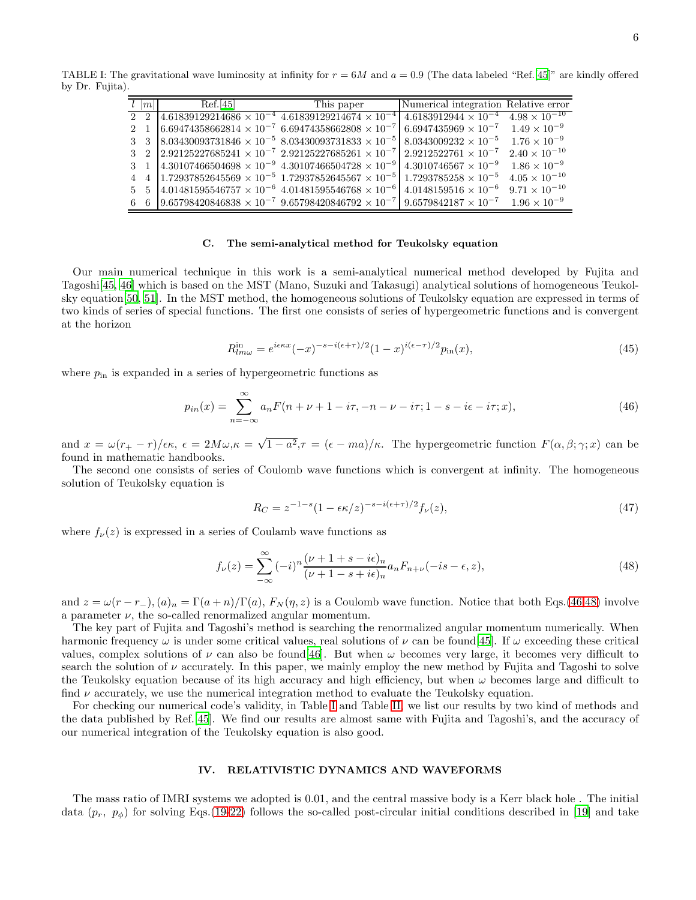<span id="page-5-0"></span>

6

TABLE I: The gravitational wave luminosity at infinity for  $r = 6M$  and  $a = 0.9$  (The data labeled "Ref.[\[45](#page-10-13)]" are kindly offered by Dr. Fujita).

<span id="page-5-2"></span>

| $l$  m      | Ref.[45]                                                                                  | This paper                                                                                                                       | Numerical integration Relative error |                        |
|-------------|-------------------------------------------------------------------------------------------|----------------------------------------------------------------------------------------------------------------------------------|--------------------------------------|------------------------|
|             |                                                                                           | 2 2 4.61839129214686 $\times 10^{-4}$ 4.61839129214674 $\times 10^{-4}$ 4.6183912944 $\times 10^{-4}$ 4.98 $\times 10^{-10}$     |                                      |                        |
| $2 \quad 1$ | $6.69474358662814 \times 10^{-7}$ 6.69474358662808 $\times 10^{-7}$                       |                                                                                                                                  | $6.6947435969 \times 10^{-7}$        | $1.49 \times 10^{-9}$  |
| $3 \quad 3$ |                                                                                           | $8.03430093731846 \times 10^{-5}$ $8.03430093731833 \times 10^{-5}$                                                              | $8.0343009232 \times 10^{-5}$        | $1.76 \times 10^{-9}$  |
|             | 3 2 2.92125227685241 $\times$ 10 <sup>-7</sup> 2.92125227685261 $\times$ 10 <sup>-7</sup> |                                                                                                                                  | $2.9212522761 \times 10^{-7}$        | $2.40 \times 10^{-10}$ |
| $3 \quad 1$ | $4.30107466504698 \times 10^{-9}$ 4.30107466504728 $\times 10^{-9}$                       |                                                                                                                                  | $4.3010746567 \times 10^{-9}$        | $1.86 \times 10^{-9}$  |
| $4\quad 4$  |                                                                                           | $1.72937852645569 \times 10^{-5}$ 1.72937852645567 $\times 10^{-5}$ 1.7293785258 $\times 10^{-5}$                                |                                      | $4.05 \times 10^{-10}$ |
|             |                                                                                           | 5 5 4.01481595546757 $\times$ 10 <sup>-6</sup> 4.01481595546768 $\times$ 10 <sup>-6</sup>                                        | $4.0148159516 \times 10^{-6}$        | $9.71 \times 10^{-10}$ |
|             |                                                                                           | 6 6 9.65798420846838 $\times$ 10 <sup>-7</sup> 9.65798420846792 $\times$ 10 <sup>-7</sup> 9.6579842187 $\times$ 10 <sup>-7</sup> |                                      | $1.96 \times 10^{-9}$  |

# C. The semi-analytical method for Teukolsky equation

Our main numerical technique in this work is a semi-analytical numerical method developed by Fujita and Tagoshi[\[45,](#page-10-13) [46\]](#page-10-14) which is based on the MST (Mano, Suzuki and Takasugi) analytical solutions of homogeneous Teukolsky equation[\[50,](#page-10-18) [51](#page-10-19)]. In the MST method, the homogeneous solutions of Teukolsky equation are expressed in terms of two kinds of series of special functions. The first one consists of series of hypergeometric functions and is convergent at the horizon

$$
R_{lm\omega}^{\text{in}} = e^{i\epsilon \kappa x} (-x)^{-s - i(\epsilon + \tau)/2} (1 - x)^{i(\epsilon - \tau)/2} p_{\text{in}}(x),\tag{45}
$$

where  $p_{\text{in}}$  is expanded in a series of hypergeometric functions as

$$
p_{in}(x) = \sum_{n = -\infty}^{\infty} a_n F(n + \nu + 1 - i\tau, -n - \nu - i\tau; 1 - s - i\epsilon - i\tau; x),
$$
\n(46)

and  $x = \omega(r_{+} - r)/\epsilon \kappa$ ,  $\epsilon = 2M\omega$ , $\kappa = \sqrt{1-a^2}$ , $\tau = (\epsilon - ma)/\kappa$ . The hypergeometric function  $F(\alpha, \beta; \gamma; x)$  can be found in mathematic handbooks.

The second one consists of series of Coulomb wave functions which is convergent at infinity. The homogeneous solution of Teukolsky equation is

<span id="page-5-1"></span>
$$
R_C = z^{-1-s} (1 - \epsilon \kappa/z)^{-s - i(\epsilon + \tau)/2} f_{\nu}(z),
$$
\n(47)

where  $f_{\nu}(z)$  is expressed in a series of Coulamb wave functions as

$$
f_{\nu}(z) = \sum_{-\infty}^{\infty} (-i)^n \frac{(\nu + 1 + s - i\epsilon)_n}{(\nu + 1 - s + i\epsilon)_n} a_n F_{n+\nu}(-is - \epsilon, z),\tag{48}
$$

and  $z = \omega(r - r_+), (a)_n = \Gamma(a + n)/\Gamma(a)$ ,  $F_N(\eta, z)$  is a Coulomb wave function. Notice that both Eqs.[\(46](#page-5-0)[,48\)](#page-5-1) involve a parameter  $\nu$ , the so-called renormalized angular momentum.

The key part of Fujita and Tagoshi's method is searching the renormalized angular momentum numerically. When harmonic frequency  $\omega$  is under some critical values, real solutions of  $\nu$  can be found [\[45\]](#page-10-13). If  $\omega$  exceeding these critical values, complex solutions of  $\nu$  can also be found [\[46\]](#page-10-14). But when  $\omega$  becomes very large, it becomes very difficult to search the solution of  $\nu$  accurately. In this paper, we mainly employ the new method by Fujita and Tagoshi to solve the Teukolsky equation because of its high accuracy and high efficiency, but when  $\omega$  becomes large and difficult to find  $\nu$  accurately, we use the numerical integration method to evaluate the Teukolsky equation.

For checking our numerical code's validity, in Table [I](#page-5-2) and Table [II,](#page-6-0) we list our results by two kind of methods and the data published by Ref.[\[45\]](#page-10-13). We find our results are almost same with Fujita and Tagoshi's, and the accuracy of our numerical integration of the Teukolsky equation is also good.

#### IV. RELATIVISTIC DYNAMICS AND WAVEFORMS

The mass ratio of IMRI systems we adopted is 0.01, and the central massive body is a Kerr black hole . The initial data  $(p_r, p_\phi)$  for solving Eqs.[\(19-](#page-2-2)[22\)](#page-2-1) follows the so-called post-circular initial conditions described in [\[19](#page-9-14)] and take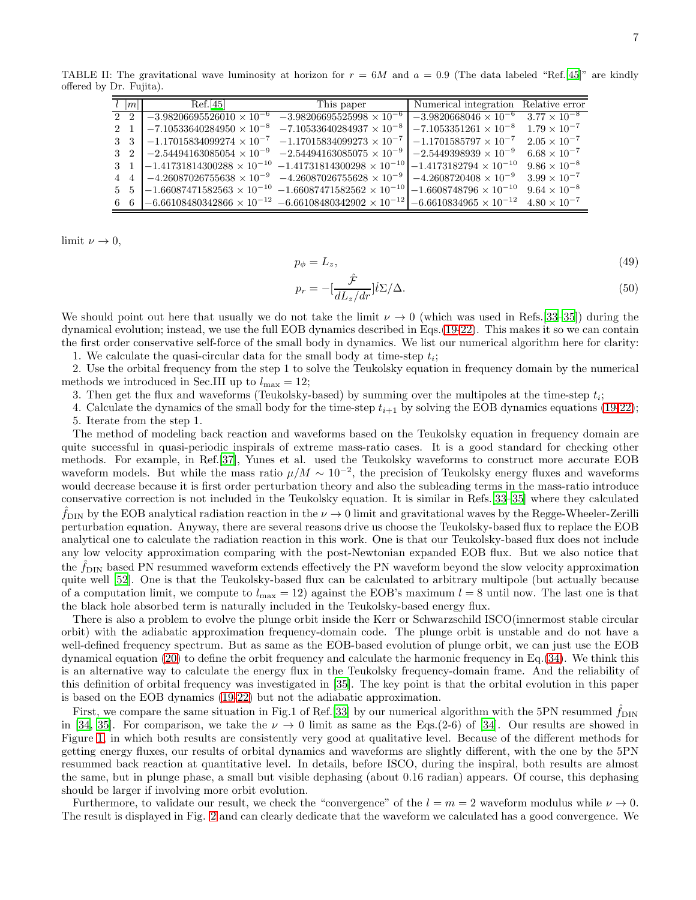TABLE II: The gravitational wave luminosity at horizon for  $r = 6M$  and  $a = 0.9$  (The data labeled "Ref.[\[45\]](#page-10-13)" are kindly offered by Dr. Fujita).

<span id="page-6-0"></span>

|       | m           | Ref.[45]                                       | This paper                                                          | Numerical integration Relative error                            |                       |
|-------|-------------|------------------------------------------------|---------------------------------------------------------------------|-----------------------------------------------------------------|-----------------------|
|       | $2\quad 2$  | $-3.98206695526010 \times 10^{-6}$             | $-3.98206695525998 \times 10^{-6}$                                  | $-3.98206\overline{68046} \times 10^{-6}$ $3.77 \times 10^{-8}$ |                       |
| $2-1$ |             | $-7.10533640284950 \times 10^{-8}$             | $-7.10533640284937 \times 10^{-8}$                                  | $-7.1053351261 \times 10^{-8}$                                  | $1.79 \times 10^{-7}$ |
|       | 3 3         | $-1.17015834099274 \times 10^{-7}$             | $-1.17015834099273 \times 10^{-7}$                                  | $-1.1701585797\times10^{-7}$                                    | $2.05 \times 10^{-7}$ |
|       | $3\quad2$   | $\vert -2.54494163085054 \times 10^{-9} \vert$ | $-2.54494163085075 \times 10^{-9}$                                  | $-2.5449398939 \times 10^{-9}$                                  | $6.68 \times 10^{-7}$ |
|       | $3 \quad 1$ | $-1.41731814300288 \times 10^{-10}$            | $-1.41731814300298 \times 10^{-10}$                                 | $-1.4173182794 \times 10^{-10}$                                 | $9.86 \times 10^{-8}$ |
|       | $4\quad 4$  | $-4.26087026755638\times10^{-9}$               | $-4.26087026755628\times10^{-9}$                                    | $-4.2608720408 \times 10^{-9}$                                  | $3.99 \times 10^{-7}$ |
|       | 5 5         | $-1.66087471582563 \times 10^{-10}$            | $-1.66087471582562\times 10^{-10}$                                  | $-1.6608748796 \times 10^{-10}$                                 | $9.64 \times 10^{-8}$ |
|       |             | 6 6 $-6.66108480342866 \times 10^{-12}$        | $-6.66108480342902 \times 10^{-12}$ $-6.6610834965 \times 10^{-12}$ |                                                                 | $4.80 \times 10^{-7}$ |

limit  $\nu \to 0$ ,

$$
p_{\phi} = L_z,\tag{49}
$$

$$
p_r = -\left[\frac{\hat{\mathcal{F}}}{dL_z/dr}\right] \dot{t} \Sigma / \Delta. \tag{50}
$$

We should point out here that usually we do not take the limit  $\nu \to 0$  (which was used in Refs.[\[33](#page-10-1)[–35\]](#page-10-2)) during the dynamical evolution; instead, we use the full EOB dynamics described in Eqs.[\(19](#page-2-2)[-22\)](#page-2-1). This makes it so we can contain the first order conservative self-force of the small body in dynamics. We list our numerical algorithm here for clarity:

1. We calculate the quasi-circular data for the small body at time-step  $t_i$ ;

2. Use the orbital frequency from the step 1 to solve the Teukolsky equation in frequency domain by the numerical methods we introduced in Sec.III up to  $l_{\text{max}} = 12$ ;

3. Then get the flux and waveforms (Teukolsky-based) by summing over the multipoles at the time-step  $t_i$ ;

4. Calculate the dynamics of the small body for the time-step  $t_{i+1}$  by solving the EOB dynamics equations [\(19-](#page-2-2)[22\)](#page-2-1); 5. Iterate from the step 1.

The method of modeling back reaction and waveforms based on the Teukolsky equation in frequency domain are quite successful in quasi-periodic inspirals of extreme mass-ratio cases. It is a good standard for checking other methods. For example, in Ref.[\[37\]](#page-10-4), Yunes et al. used the Teukolsky waveforms to construct more accurate EOB waveform models. But while the mass ratio  $\mu/M \sim 10^{-2}$ , the precision of Teukolsky energy fluxes and waveforms would decrease because it is first order perturbation theory and also the subleading terms in the mass-ratio introduce conservative correction is not included in the Teukolsky equation. It is similar in Refs.[\[33](#page-10-1)[–35\]](#page-10-2) where they calculated  $f_{\text{DIN}}$  by the EOB analytical radiation reaction in the  $\nu \to 0$  limit and gravitational waves by the Regge-Wheeler-Zerilli perturbation equation. Anyway, there are several reasons drive us choose the Teukolsky-based flux to replace the EOB analytical one to calculate the radiation reaction in this work. One is that our Teukolsky-based flux does not include any low velocity approximation comparing with the post-Newtonian expanded EOB flux. But we also notice that the  $f_{\text{DIN}}$  based PN resummed waveform extends effectively the PN waveform beyond the slow velocity approximation quite well [\[52\]](#page-10-20). One is that the Teukolsky-based flux can be calculated to arbitrary multipole (but actually because of a computation limit, we compute to  $l_{\text{max}} = 12$ ) against the EOB's maximum  $l = 8$  until now. The last one is that the black hole absorbed term is naturally included in the Teukolsky-based energy flux.

There is also a problem to evolve the plunge orbit inside the Kerr or Schwarzschild ISCO(innermost stable circular orbit) with the adiabatic approximation frequency-domain code. The plunge orbit is unstable and do not have a well-defined frequency spectrum. But as same as the EOB-based evolution of plunge orbit, we can just use the EOB dynamical equation [\(20\)](#page-2-3) to define the orbit frequency and calculate the harmonic frequency in Eq.[\(34\)](#page-4-3). We think this is an alternative way to calculate the energy flux in the Teukolsky frequency-domain frame. And the reliability of this definition of orbital frequency was investigated in [\[35](#page-10-2)]. The key point is that the orbital evolution in this paper is based on the EOB dynamics [\(19-](#page-2-2)[22\)](#page-2-1) but not the adiabatic approximation.

First, we compare the same situation in Fig.1 of Ref.[\[33\]](#page-10-1) by our numerical algorithm with the 5PN resummed  $\hat{f}_{\text{DIN}}$ in [\[34](#page-10-10), [35\]](#page-10-2). For comparison, we take the  $\nu \rightarrow 0$  limit as same as the Eqs.(2-6) of [34]. Our results are showed in Figure [1,](#page-7-0) in which both results are consistently very good at qualitative level. Because of the different methods for getting energy fluxes, our results of orbital dynamics and waveforms are slightly different, with the one by the 5PN resummed back reaction at quantitative level. In details, before ISCO, during the inspiral, both results are almost the same, but in plunge phase, a small but visible dephasing (about 0.16 radian) appears. Of course, this dephasing should be larger if involving more orbit evolution.

Furthermore, to validate our result, we check the "convergence" of the  $l = m = 2$  waveform modulus while  $\nu \to 0$ . The result is displayed in Fig. [2](#page-7-1) and can clearly dedicate that the waveform we calculated has a good convergence. We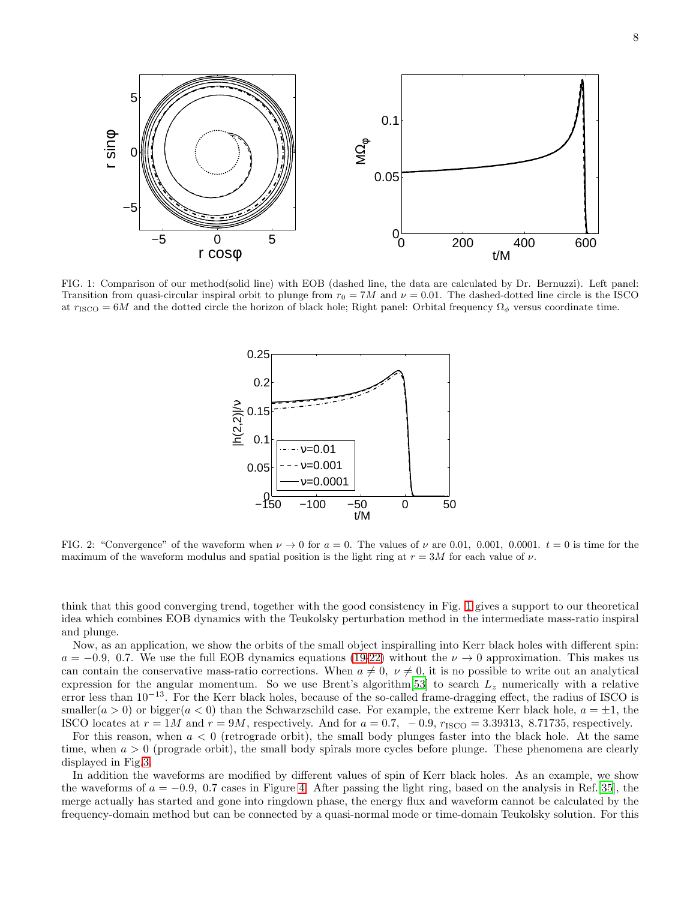

<span id="page-7-0"></span>FIG. 1: Comparison of our method(solid line) with EOB (dashed line, the data are calculated by Dr. Bernuzzi). Left panel: Transition from quasi-circular inspiral orbit to plunge from  $r_0 = 7M$  and  $\nu = 0.01$ . The dashed-dotted line circle is the ISCO at  $r_{\text{ISCO}} = 6M$  and the dotted circle the horizon of black hole; Right panel: Orbital frequency  $\Omega_{\phi}$  versus coordinate time.



<span id="page-7-1"></span>FIG. 2: "Convergence" of the waveform when  $\nu \to 0$  for  $a = 0$ . The values of  $\nu$  are 0.01, 0.001, 0.0001.  $t = 0$  is time for the maximum of the waveform modulus and spatial position is the light ring at  $r = 3M$  for each value of  $\nu$ .

think that this good converging trend, together with the good consistency in Fig. [1](#page-7-0) gives a support to our theoretical idea which combines EOB dynamics with the Teukolsky perturbation method in the intermediate mass-ratio inspiral and plunge.

Now, as an application, we show the orbits of the small object inspiralling into Kerr black holes with different spin:  $a = -0.9, 0.7$ . We use the full EOB dynamics equations [\(19-](#page-2-2)[22\)](#page-2-1) without the  $\nu \rightarrow 0$  approximation. This makes us can contain the conservative mass-ratio corrections. When  $a \neq 0$ ,  $\nu \neq 0$ , it is no possible to write out an analytical expression for the angular momentum. So we use Brent's algorithm[\[53](#page-10-21)] to search  $L_z$  numerically with a relative error less than  $10^{-13}$ . For the Kerr black holes, because of the so-called frame-dragging effect, the radius of ISCO is smaller( $a > 0$ ) or bigger( $a < 0$ ) than the Schwarzschild case. For example, the extreme Kerr black hole,  $a = \pm 1$ , the ISCO locates at  $r = 1M$  and  $r = 9M$ , respectively. And for  $a = 0.7$ ,  $-0.9$ ,  $r_{\text{ISCO}} = 3.39313$ , 8.71735, respectively.

For this reason, when  $a < 0$  (retrograde orbit), the small body plunges faster into the black hole. At the same time, when  $a > 0$  (prograde orbit), the small body spirals more cycles before plunge. These phenomena are clearly displayed in Fig[.3.](#page-8-0)

In addition the waveforms are modified by different values of spin of Kerr black holes. As an example, we show the waveforms of  $a = -0.9$ , 0.7 cases in Figure [4.](#page-8-1) After passing the light ring, based on the analysis in Ref.[\[35](#page-10-2)], the merge actually has started and gone into ringdown phase, the energy flux and waveform cannot be calculated by the frequency-domain method but can be connected by a quasi-normal mode or time-domain Teukolsky solution. For this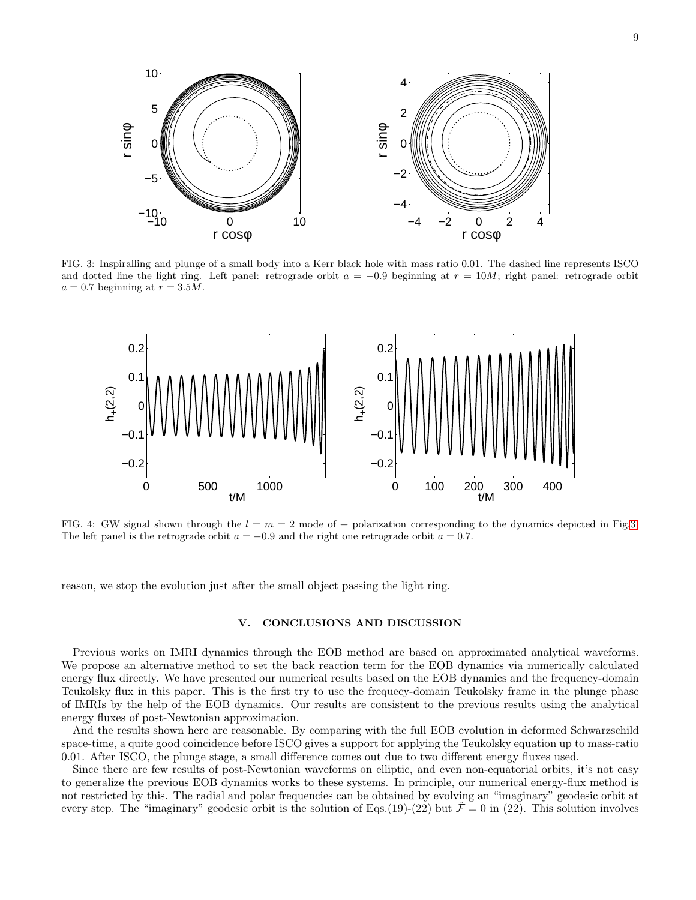

<span id="page-8-0"></span>FIG. 3: Inspiralling and plunge of a small body into a Kerr black hole with mass ratio 0.01. The dashed line represents ISCO and dotted line the light ring. Left panel: retrograde orbit  $a = -0.9$  beginning at  $r = 10M$ ; right panel: retrograde orbit  $a = 0.7$  beginning at  $r = 3.5M$ .



<span id="page-8-1"></span>FIG. 4: GW signal shown through the  $l = m = 2$  mode of + polarization corresponding to the dynamics depicted in Fig[.3.](#page-8-0) The left panel is the retrograde orbit  $a = -0.9$  and the right one retrograde orbit  $a = 0.7$ .

reason, we stop the evolution just after the small object passing the light ring.

#### V. CONCLUSIONS AND DISCUSSION

Previous works on IMRI dynamics through the EOB method are based on approximated analytical waveforms. We propose an alternative method to set the back reaction term for the EOB dynamics via numerically calculated energy flux directly. We have presented our numerical results based on the EOB dynamics and the frequency-domain Teukolsky flux in this paper. This is the first try to use the frequecy-domain Teukolsky frame in the plunge phase of IMRIs by the help of the EOB dynamics. Our results are consistent to the previous results using the analytical energy fluxes of post-Newtonian approximation.

And the results shown here are reasonable. By comparing with the full EOB evolution in deformed Schwarzschild space-time, a quite good coincidence before ISCO gives a support for applying the Teukolsky equation up to mass-ratio 0.01. After ISCO, the plunge stage, a small difference comes out due to two different energy fluxes used.

Since there are few results of post-Newtonian waveforms on elliptic, and even non-equatorial orbits, it's not easy to generalize the previous EOB dynamics works to these systems. In principle, our numerical energy-flux method is not restricted by this. The radial and polar frequencies can be obtained by evolving an "imaginary" geodesic orbit at every step. The "imaginary" geodesic orbit is the solution of Eqs.(19)-(22) but  $\hat{\mathcal{F}} = 0$  in (22). This solution involves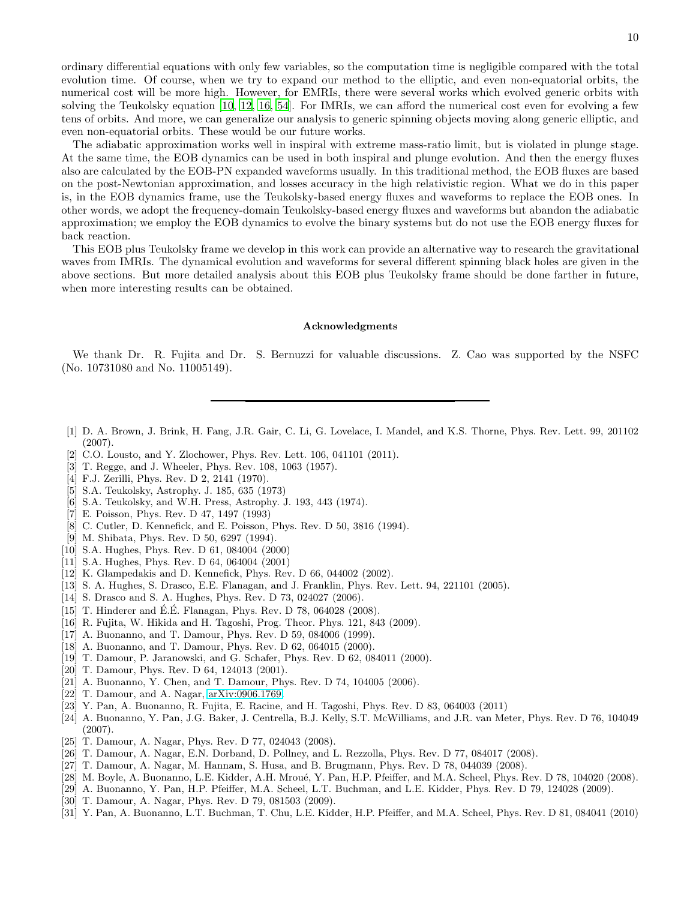ordinary differential equations with only few variables, so the computation time is negligible compared with the total evolution time. Of course, when we try to expand our method to the elliptic, and even non-equatorial orbits, the numerical cost will be more high. However, for EMRIs, there were several works which evolved generic orbits with solving the Teukolsky equation [\[10,](#page-9-12) [12,](#page-9-15) [16,](#page-9-7) [54\]](#page-10-22). For IMRIs, we can afford the numerical cost even for evolving a few tens of orbits. And more, we can generalize our analysis to generic spinning objects moving along generic elliptic, and even non-equatorial orbits. These would be our future works.

The adiabatic approximation works well in inspiral with extreme mass-ratio limit, but is violated in plunge stage. At the same time, the EOB dynamics can be used in both inspiral and plunge evolution. And then the energy fluxes also are calculated by the EOB-PN expanded waveforms usually. In this traditional method, the EOB fluxes are based on the post-Newtonian approximation, and losses accuracy in the high relativistic region. What we do in this paper is, in the EOB dynamics frame, use the Teukolsky-based energy fluxes and waveforms to replace the EOB ones. In other words, we adopt the frequency-domain Teukolsky-based energy fluxes and waveforms but abandon the adiabatic approximation; we employ the EOB dynamics to evolve the binary systems but do not use the EOB energy fluxes for back reaction.

This EOB plus Teukolsky frame we develop in this work can provide an alternative way to research the gravitational waves from IMRIs. The dynamical evolution and waveforms for several different spinning black holes are given in the above sections. But more detailed analysis about this EOB plus Teukolsky frame should be done farther in future, when more interesting results can be obtained.

#### Acknowledgments

We thank Dr. R. Fujita and Dr. S. Bernuzzi for valuable discussions. Z. Cao was supported by the NSFC (No. 10731080 and No. 11005149).

- <span id="page-9-0"></span>[1] D. A. Brown, J. Brink, H. Fang, J.R. Gair, C. Li, G. Lovelace, I. Mandel, and K.S. Thorne, Phys. Rev. Lett. 99, 201102 (2007).
- <span id="page-9-1"></span>[2] C.O. Lousto, and Y. Zlochower, Phys. Rev. Lett. 106, 041101 (2011).
- <span id="page-9-2"></span>[3] T. Regge, and J. Wheeler, Phys. Rev. 108, 1063 (1957).
- <span id="page-9-3"></span>[4] F.J. Zerilli, Phys. Rev. D 2, 2141 (1970).
- <span id="page-9-4"></span>[5] S.A. Teukolsky, Astrophy. J. 185, 635 (1973)
- <span id="page-9-5"></span>[6] S.A. Teukolsky, and W.H. Press, Astrophy. J. 193, 443 (1974).
- <span id="page-9-6"></span>[7] E. Poisson, Phys. Rev. D 47, 1497 (1993)
- [8] C. Cutler, D. Kennefick, and E. Poisson, Phys. Rev. D 50, 3816 (1994).
- [9] M. Shibata, Phys. Rev. D 50, 6297 (1994).
- <span id="page-9-12"></span>[10] S.A. Hughes, Phys. Rev. D 61, 084004 (2000)
- [11] S.A. Hughes, Phys. Rev. D 64, 064004 (2001)
- <span id="page-9-15"></span>[12] K. Glampedakis and D. Kennefick, Phys. Rev. D 66, 044002 (2002).
- [13] S. A. Hughes, S. Drasco, E.E. Flanagan, and J. Franklin, Phys. Rev. Lett. 94, 221101 (2005).
- <span id="page-9-13"></span>[14] S. Drasco and S. A. Hughes, Phys. Rev. D 73, 024027 (2006).
- [15] T. Hinderer and É.É. Flanagan, Phys. Rev. D 78, 064028 (2008).
- <span id="page-9-7"></span>[16] R. Fujita, W. Hikida and H. Tagoshi, Prog. Theor. Phys. 121, 843 (2009).
- <span id="page-9-8"></span>[17] A. Buonanno, and T. Damour, Phys. Rev. D 59, 084006 (1999).
- <span id="page-9-11"></span>[18] A. Buonanno, and T. Damour, Phys. Rev. D 62, 064015 (2000).
- <span id="page-9-14"></span>[19] T. Damour, P. Jaranowski, and G. Schafer, Phys. Rev. D 62, 084011 (2000).
- [20] T. Damour, Phys. Rev. D 64, 124013 (2001).
- [21] A. Buonanno, Y. Chen, and T. Damour, Phys. Rev. D 74, 104005 (2006).
- [22] T. Damour, and A. Nagar, [arXiv:0906.1769.](http://arxiv.org/abs/0906.1769)
- <span id="page-9-9"></span>[23] Y. Pan, A. Buonanno, R. Fujita, E. Racine, and H. Tagoshi, Phys. Rev. D 83, 064003 (2011)
- <span id="page-9-10"></span>[24] A. Buonanno, Y. Pan, J.G. Baker, J. Centrella, B.J. Kelly, S.T. McWilliams, and J.R. van Meter, Phys. Rev. D 76, 104049 (2007).
- [25] T. Damour, A. Nagar, Phys. Rev. D 77, 024043 (2008).
- [26] T. Damour, A. Nagar, E.N. Dorband, D. Pollney, and L. Rezzolla, Phys. Rev. D 77, 084017 (2008).
- [27] T. Damour, A. Nagar, M. Hannam, S. Husa, and B. Brugmann, Phys. Rev. D 78, 044039 (2008).
- [28] M. Boyle, A. Buonanno, L.E. Kidder, A.H. Mroué, Y. Pan, H.P. Pfeiffer, and M.A. Scheel, Phys. Rev. D 78, 104020 (2008).
- [29] A. Buonanno, Y. Pan, H.P. Pfeiffer, M.A. Scheel, L.T. Buchman, and L.E. Kidder, Phys. Rev. D 79, 124028 (2009).
- [30] T. Damour, A. Nagar, Phys. Rev. D 79, 081503 (2009).
- [31] Y. Pan, A. Buonanno, L.T. Buchman, T. Chu, L.E. Kidder, H.P. Pfeiffer, and M.A. Scheel, Phys. Rev. D 81, 084041 (2010)